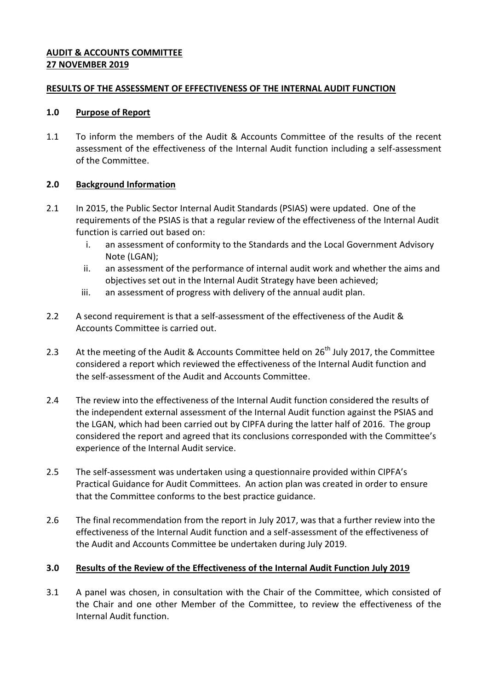#### **AUDIT & ACCOUNTS COMMITTEE 27 NOVEMBER 2019**

#### **RESULTS OF THE ASSESSMENT OF EFFECTIVENESS OF THE INTERNAL AUDIT FUNCTION**

#### **1.0 Purpose of Report**

1.1 To inform the members of the Audit & Accounts Committee of the results of the recent assessment of the effectiveness of the Internal Audit function including a self-assessment of the Committee.

## **2.0 Background Information**

- 2.1 In 2015, the Public Sector Internal Audit Standards (PSIAS) were updated. One of the requirements of the PSIAS is that a regular review of the effectiveness of the Internal Audit function is carried out based on:
	- i. an assessment of conformity to the Standards and the Local Government Advisory Note (LGAN);
	- ii. an assessment of the performance of internal audit work and whether the aims and objectives set out in the Internal Audit Strategy have been achieved;
	- iii. an assessment of progress with delivery of the annual audit plan.
- 2.2 A second requirement is that a self-assessment of the effectiveness of the Audit & Accounts Committee is carried out.
- 2.3 At the meeting of the Audit & Accounts Committee held on 26<sup>th</sup> July 2017, the Committee considered a report which reviewed the effectiveness of the Internal Audit function and the self-assessment of the Audit and Accounts Committee.
- 2.4 The review into the effectiveness of the Internal Audit function considered the results of the independent external assessment of the Internal Audit function against the PSIAS and the LGAN, which had been carried out by CIPFA during the latter half of 2016. The group considered the report and agreed that its conclusions corresponded with the Committee's experience of the Internal Audit service.
- 2.5 The self-assessment was undertaken using a questionnaire provided within CIPFA's Practical Guidance for Audit Committees. An action plan was created in order to ensure that the Committee conforms to the best practice guidance.
- 2.6 The final recommendation from the report in July 2017, was that a further review into the effectiveness of the Internal Audit function and a self-assessment of the effectiveness of the Audit and Accounts Committee be undertaken during July 2019.

## **3.0 Results of the Review of the Effectiveness of the Internal Audit Function July 2019**

3.1 A panel was chosen, in consultation with the Chair of the Committee, which consisted of the Chair and one other Member of the Committee, to review the effectiveness of the Internal Audit function.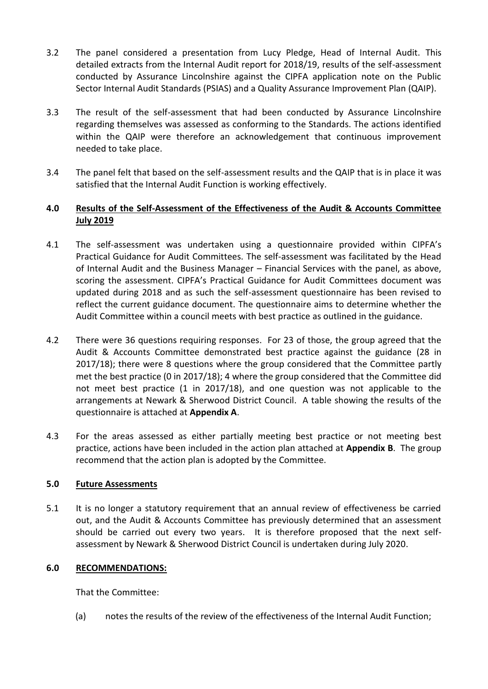- 3.2 The panel considered a presentation from Lucy Pledge, Head of Internal Audit. This detailed extracts from the Internal Audit report for 2018/19, results of the self-assessment conducted by Assurance Lincolnshire against the CIPFA application note on the Public Sector Internal Audit Standards (PSIAS) and a Quality Assurance Improvement Plan (QAIP).
- 3.3 The result of the self-assessment that had been conducted by Assurance Lincolnshire regarding themselves was assessed as conforming to the Standards. The actions identified within the QAIP were therefore an acknowledgement that continuous improvement needed to take place.
- 3.4 The panel felt that based on the self-assessment results and the QAIP that is in place it was satisfied that the Internal Audit Function is working effectively.

# **4.0 Results of the Self-Assessment of the Effectiveness of the Audit & Accounts Committee July 2019**

- 4.1 The self-assessment was undertaken using a questionnaire provided within CIPFA's Practical Guidance for Audit Committees. The self-assessment was facilitated by the Head of Internal Audit and the Business Manager – Financial Services with the panel, as above, scoring the assessment. CIPFA's Practical Guidance for Audit Committees document was updated during 2018 and as such the self-assessment questionnaire has been revised to reflect the current guidance document. The questionnaire aims to determine whether the Audit Committee within a council meets with best practice as outlined in the guidance.
- 4.2 There were 36 questions requiring responses. For 23 of those, the group agreed that the Audit & Accounts Committee demonstrated best practice against the guidance (28 in 2017/18); there were 8 questions where the group considered that the Committee partly met the best practice (0 in 2017/18); 4 where the group considered that the Committee did not meet best practice (1 in 2017/18), and one question was not applicable to the arrangements at Newark & Sherwood District Council. A table showing the results of the questionnaire is attached at **Appendix A**.
- 4.3 For the areas assessed as either partially meeting best practice or not meeting best practice, actions have been included in the action plan attached at **Appendix B**. The group recommend that the action plan is adopted by the Committee.

## **5.0 Future Assessments**

5.1 It is no longer a statutory requirement that an annual review of effectiveness be carried out, and the Audit & Accounts Committee has previously determined that an assessment should be carried out every two years. It is therefore proposed that the next selfassessment by Newark & Sherwood District Council is undertaken during July 2020.

# **6.0 RECOMMENDATIONS:**

That the Committee:

(a) notes the results of the review of the effectiveness of the Internal Audit Function;